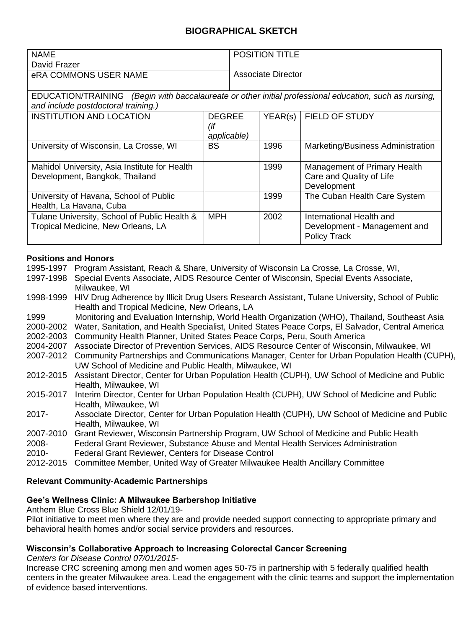# **BIOGRAPHICAL SKETCH**

| ' NAME                | <b>POSITION TITLE</b>     |
|-----------------------|---------------------------|
| ∥ David Frazer        |                           |
| eRA COMMONS USER NAME | <b>Associate Director</b> |
|                       |                           |

EDUCATION/TRAINING *(Begin with baccalaureate or other initial professional education, such as nursing, and include postdoctoral training.)*

| <b>INSTITUTION AND LOCATION</b>                                                    | <b>DEGREE</b><br>(if<br>applicable) | YEAR(s) | FIELD OF STUDY                                                                  |
|------------------------------------------------------------------------------------|-------------------------------------|---------|---------------------------------------------------------------------------------|
| University of Wisconsin, La Crosse, WI                                             | <b>BS</b>                           | 1996    | Marketing/Business Administration                                               |
| Mahidol University, Asia Institute for Health<br>Development, Bangkok, Thailand    |                                     | 1999    | Management of Primary Health<br>Care and Quality of Life<br>Development         |
| University of Havana, School of Public<br>Health, La Havana, Cuba                  |                                     | 1999    | The Cuban Health Care System                                                    |
| Tulane University, School of Public Health &<br>Tropical Medicine, New Orleans, LA | <b>MPH</b>                          | 2002    | International Health and<br>Development - Management and<br><b>Policy Track</b> |

### **Positions and Honors**

| 1995-1997 | Program Assistant, Reach & Share, University of Wisconsin La Crosse, La Crosse, WI,               |
|-----------|---------------------------------------------------------------------------------------------------|
| 1997-1998 | Special Events Associate, AIDS Resource Center of Wisconsin, Special Events Associate,            |
|           | Milwaukee, WI                                                                                     |
| 1998-1999 | HIV Drug Adherence by Illicit Drug Users Research Assistant, Tulane University, School of Public  |
|           | Health and Tropical Medicine, New Orleans, LA                                                     |
| 1999      | Monitoring and Evaluation Internship, World Health Organization (WHO), Thailand, Southeast Asia   |
| 2000-2002 | Water, Sanitation, and Health Specialist, United States Peace Corps, El Salvador, Central America |
| 2002-2003 | Community Health Planner, United States Peace Corps, Peru, South America                          |
| 2004-2007 | Associate Director of Prevention Services, AIDS Resource Center of Wisconsin, Milwaukee, WI       |
| 2007-2012 | Community Partnerships and Communications Manager, Center for Urban Population Health (CUPH),     |
|           | UW School of Medicine and Public Health, Milwaukee, WI                                            |
| 2012-2015 | Assistant Director, Center for Urban Population Health (CUPH), UW School of Medicine and Public   |
|           | Health, Milwaukee, WI                                                                             |
| 2015-2017 | Interim Director, Center for Urban Population Health (CUPH), UW School of Medicine and Public     |
|           | Health, Milwaukee, WI                                                                             |
| 2017-     | Associate Director, Center for Urban Population Health (CUPH), UW School of Medicine and Public   |
|           | Health, Milwaukee, WI                                                                             |
| 2007-2010 | Grant Reviewer, Wisconsin Partnership Program, UW School of Medicine and Public Health            |
| 2008-     | Federal Grant Reviewer, Substance Abuse and Mental Health Services Administration                 |
| 2010-     | <b>Federal Grant Reviewer, Centers for Disease Control</b>                                        |
| 2012-2015 | Committee Member, United Way of Greater Milwaukee Health Ancillary Committee                      |

#### **Relevant Community-Academic Partnerships**

#### **Gee's Wellness Clinic: A Milwaukee Barbershop Initiative**

Anthem Blue Cross Blue Shield 12/01/19-

Pilot initiative to meet men where they are and provide needed support connecting to appropriate primary and behavioral health homes and/or social service providers and resources.

### **Wisconsin's Collaborative Approach to Increasing Colorectal Cancer Screening**

*Centers for Disease Control 07/01/2015-*

Increase CRC screening among men and women ages 50-75 in partnership with 5 federally qualified health centers in the greater Milwaukee area. Lead the engagement with the clinic teams and support the implementation of evidence based interventions.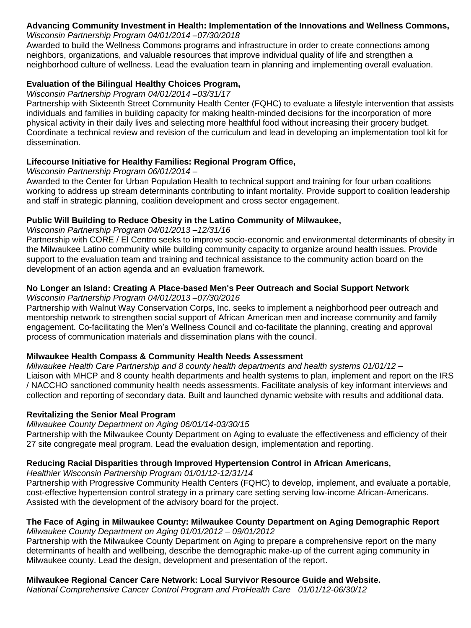#### **Advancing Community Investment in Health: Implementation of the Innovations and Wellness Commons,**  *Wisconsin Partnership Program 04/01/2014 –07/30/2018*

Awarded to build the Wellness Commons programs and infrastructure in order to create connections among neighbors, organizations, and valuable resources that improve individual quality of life and strengthen a neighborhood culture of wellness. Lead the evaluation team in planning and implementing overall evaluation.

# **Evaluation of the Bilingual Healthy Choices Program,**

### *Wisconsin Partnership Program 04/01/2014 –03/31/17*

Partnership with Sixteenth Street Community Health Center (FQHC) to evaluate a lifestyle intervention that assists individuals and families in building capacity for making health-minded decisions for the incorporation of more physical activity in their daily lives and selecting more healthful food without increasing their grocery budget. Coordinate a technical review and revision of the curriculum and lead in developing an implementation tool kit for dissemination.

# **Lifecourse Initiative for Healthy Families: Regional Program Office,**

*Wisconsin Partnership Program 06/01/2014 –*

Awarded to the Center for Urban Population Health to technical support and training for four urban coalitions working to address up stream determinants contributing to infant mortality. Provide support to coalition leadership and staff in strategic planning, coalition development and cross sector engagement.

# **Public Will Building to Reduce Obesity in the Latino Community of Milwaukee,**

## *Wisconsin Partnership Program 04/01/2013 –12/31/16*

Partnership with CORE / El Centro seeks to improve socio-economic and environmental determinants of obesity in the Milwaukee Latino community while building community capacity to organize around health issues. Provide support to the evaluation team and training and technical assistance to the community action board on the development of an action agenda and an evaluation framework.

#### **No Longer an Island: Creating A Place-based Men's Peer Outreach and Social Support Network** *Wisconsin Partnership Program 04/01/2013 –07/30/2016*

Partnership with Walnut Way Conservation Corps, Inc. seeks to implement a neighborhood peer outreach and mentorship network to strengthen social support of African American men and increase community and family engagement. Co-facilitating the Men's Wellness Council and co-facilitate the planning, creating and approval process of communication materials and dissemination plans with the council.

# **Milwaukee Health Compass & Community Health Needs Assessment**

*Milwaukee Health Care Partnership and 8 county health departments and health systems 01/01/12 –* Liaison with MHCP and 8 county health departments and health systems to plan, implement and report on the IRS / NACCHO sanctioned community health needs assessments. Facilitate analysis of key informant interviews and collection and reporting of secondary data. Built and launched dynamic website with results and additional data.

# **Revitalizing the Senior Meal Program**

# *Milwaukee County Department on Aging 06/01/14-03/30/15*

Partnership with the Milwaukee County Department on Aging to evaluate the effectiveness and efficiency of their 27 site congregate meal program. Lead the evaluation design, implementation and reporting.

# **Reducing Racial Disparities through Improved Hypertension Control in African Americans,**

*Healthier Wisconsin Partnership Program 01/01/12-12/31/14* 

Partnership with Progressive Community Health Centers (FQHC) to develop, implement, and evaluate a portable, cost-effective hypertension control strategy in a primary care setting serving low-income African-Americans. Assisted with the development of the advisory board for the project.

### **The Face of Aging in Milwaukee County: Milwaukee County Department on Aging Demographic Report** *Milwaukee County Department on Aging 01/01/2012 – 09/01/2012*

Partnership with the Milwaukee County Department on Aging to prepare a comprehensive report on the many determinants of health and wellbeing, describe the demographic make-up of the current aging community in Milwaukee county. Lead the design, development and presentation of the report.

# **Milwaukee Regional Cancer Care Network: Local Survivor Resource Guide and Website.**

*National Comprehensive Cancer Control Program and ProHealth Care 01/01/12-06/30/12*